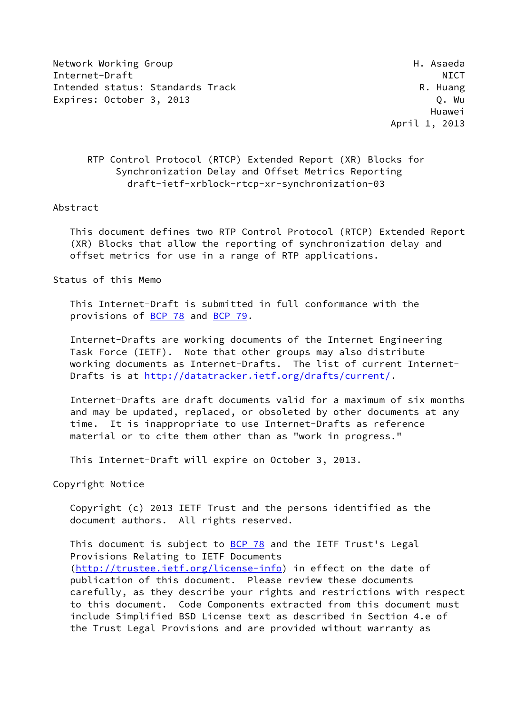Network Working Group Network Asseda Internet-Draft NICT Intended status: Standards Track R. Huang Expires: October 3, 2013 C. Nu

 Huawei April 1, 2013

# RTP Control Protocol (RTCP) Extended Report (XR) Blocks for Synchronization Delay and Offset Metrics Reporting draft-ietf-xrblock-rtcp-xr-synchronization-03

#### Abstract

 This document defines two RTP Control Protocol (RTCP) Extended Report (XR) Blocks that allow the reporting of synchronization delay and offset metrics for use in a range of RTP applications.

Status of this Memo

 This Internet-Draft is submitted in full conformance with the provisions of [BCP 78](https://datatracker.ietf.org/doc/pdf/bcp78) and [BCP 79](https://datatracker.ietf.org/doc/pdf/bcp79).

 Internet-Drafts are working documents of the Internet Engineering Task Force (IETF). Note that other groups may also distribute working documents as Internet-Drafts. The list of current Internet Drafts is at<http://datatracker.ietf.org/drafts/current/>.

 Internet-Drafts are draft documents valid for a maximum of six months and may be updated, replaced, or obsoleted by other documents at any time. It is inappropriate to use Internet-Drafts as reference material or to cite them other than as "work in progress."

This Internet-Draft will expire on October 3, 2013.

Copyright Notice

 Copyright (c) 2013 IETF Trust and the persons identified as the document authors. All rights reserved.

This document is subject to [BCP 78](https://datatracker.ietf.org/doc/pdf/bcp78) and the IETF Trust's Legal Provisions Relating to IETF Documents [\(http://trustee.ietf.org/license-info](http://trustee.ietf.org/license-info)) in effect on the date of publication of this document. Please review these documents carefully, as they describe your rights and restrictions with respect to this document. Code Components extracted from this document must include Simplified BSD License text as described in Section 4.e of the Trust Legal Provisions and are provided without warranty as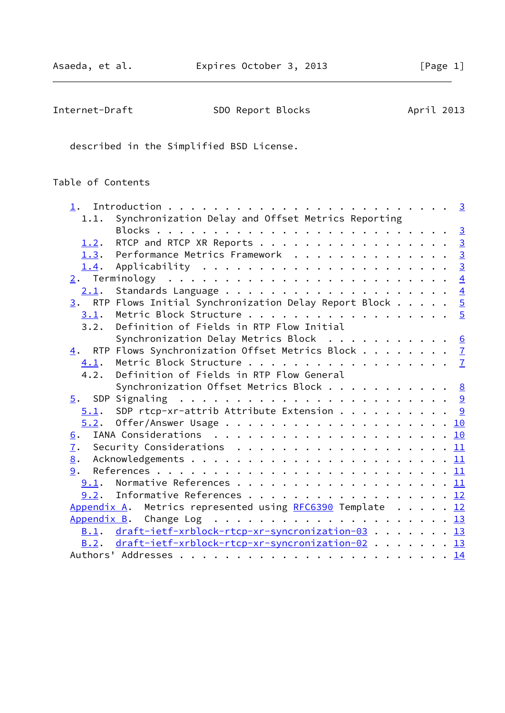| Internet-Draft | SDO Report Blocks | April 2013 |
|----------------|-------------------|------------|
|----------------|-------------------|------------|

described in the Simplified BSD License.

# Table of Contents

| 1.1.        | Synchronization Delay and Offset Metrics Reporting                       |  |
|-------------|--------------------------------------------------------------------------|--|
|             |                                                                          |  |
|             | 1.2. RTCP and RTCP XR Reports 3                                          |  |
|             | 1.3. Performance Metrics Framework 3                                     |  |
|             |                                                                          |  |
|             |                                                                          |  |
| 2.1.        |                                                                          |  |
|             | $\underline{3}$ . RTP Flows Initial Synchronization Delay Report Block 5 |  |
| 3.1.        | Metric Block Structure 5                                                 |  |
| 3.2.        | Definition of Fields in RTP Flow Initial                                 |  |
|             | Synchronization Delay Metrics Block $\cdots$ 6                           |  |
| 4.          | RTP Flows Synchronization Offset Metrics Block $\frac{7}{2}$             |  |
| 4.1.        |                                                                          |  |
| 4.2.        | Definition of Fields in RTP Flow General                                 |  |
|             | Synchronization Offset Metrics Block 8                                   |  |
| 5.          |                                                                          |  |
|             | $5.1$ . SDP rtcp-xr-attrib Attribute Extension 9                         |  |
|             |                                                                          |  |
| 6.          |                                                                          |  |
| 7.          |                                                                          |  |
| 8.          |                                                                          |  |
| 9.          |                                                                          |  |
| 9.1.        |                                                                          |  |
|             | 9.2. Informative References 12                                           |  |
| Appendix A. | Metrics represented using RFC6390 Template 12                            |  |
|             |                                                                          |  |
|             | B.1. draft-ietf-xrblock-rtcp-xr-syncronization-03 13                     |  |
|             | B.2. draft-ietf-xrblock-rtcp-xr-syncronization-02 13                     |  |
|             |                                                                          |  |
|             |                                                                          |  |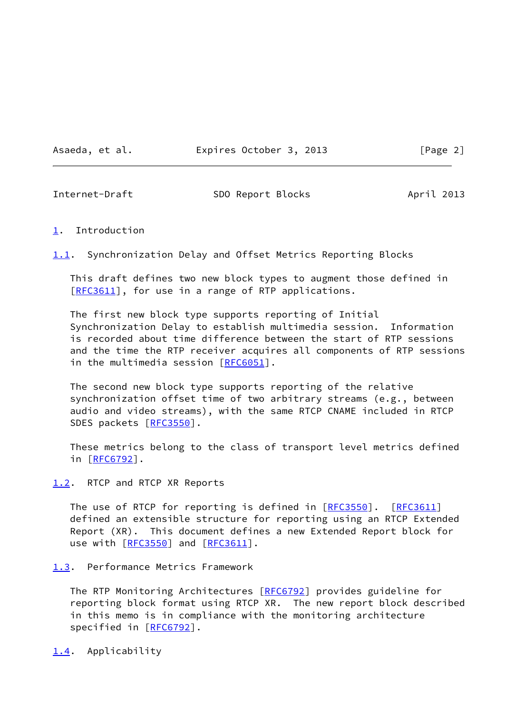Asaeda, et al. **Expires October 3, 2013** [Page 2]

<span id="page-2-1"></span>

Internet-Draft SDO Report Blocks April 2013

#### <span id="page-2-0"></span>[1](#page-2-0). Introduction

<span id="page-2-5"></span>[1.1](#page-2-5). Synchronization Delay and Offset Metrics Reporting Blocks

 This draft defines two new block types to augment those defined in [\[RFC3611](https://datatracker.ietf.org/doc/pdf/rfc3611)], for use in a range of RTP applications.

 The first new block type supports reporting of Initial Synchronization Delay to establish multimedia session. Information is recorded about time difference between the start of RTP sessions and the time the RTP receiver acquires all components of RTP sessions in the multimedia session [[RFC6051](https://datatracker.ietf.org/doc/pdf/rfc6051)].

 The second new block type supports reporting of the relative synchronization offset time of two arbitrary streams (e.g., between audio and video streams), with the same RTCP CNAME included in RTCP SDES packets [\[RFC3550](https://datatracker.ietf.org/doc/pdf/rfc3550)].

 These metrics belong to the class of transport level metrics defined in [[RFC6792\]](https://datatracker.ietf.org/doc/pdf/rfc6792).

<span id="page-2-2"></span>[1.2](#page-2-2). RTCP and RTCP XR Reports

The use of RTCP for reporting is defined in [\[RFC3550](https://datatracker.ietf.org/doc/pdf/rfc3550)]. [\[RFC3611](https://datatracker.ietf.org/doc/pdf/rfc3611)] defined an extensible structure for reporting using an RTCP Extended Report (XR). This document defines a new Extended Report block for use with [\[RFC3550](https://datatracker.ietf.org/doc/pdf/rfc3550)] and [\[RFC3611](https://datatracker.ietf.org/doc/pdf/rfc3611)].

<span id="page-2-3"></span>[1.3](#page-2-3). Performance Metrics Framework

The RTP Monitoring Architectures [\[RFC6792](https://datatracker.ietf.org/doc/pdf/rfc6792)] provides guideline for reporting block format using RTCP XR. The new report block described in this memo is in compliance with the monitoring architecture specified in [\[RFC6792](https://datatracker.ietf.org/doc/pdf/rfc6792)].

<span id="page-2-4"></span>[1.4](#page-2-4). Applicability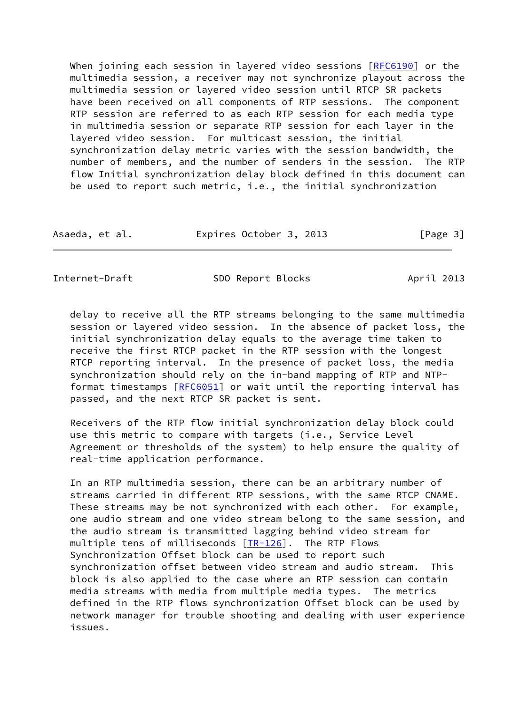When joining each session in layered video sessions [\[RFC6190](https://datatracker.ietf.org/doc/pdf/rfc6190)] or the multimedia session, a receiver may not synchronize playout across the multimedia session or layered video session until RTCP SR packets have been received on all components of RTP sessions. The component RTP session are referred to as each RTP session for each media type in multimedia session or separate RTP session for each layer in the layered video session. For multicast session, the initial synchronization delay metric varies with the session bandwidth, the number of members, and the number of senders in the session. The RTP flow Initial synchronization delay block defined in this document can be used to report such metric, i.e., the initial synchronization

| Asaeda, et al. | Expires October 3, 2013 | [Page 3] |
|----------------|-------------------------|----------|
|----------------|-------------------------|----------|

<span id="page-3-0"></span>Internet-Draft SDO Report Blocks April 2013

 delay to receive all the RTP streams belonging to the same multimedia session or layered video session. In the absence of packet loss, the initial synchronization delay equals to the average time taken to receive the first RTCP packet in the RTP session with the longest RTCP reporting interval. In the presence of packet loss, the media synchronization should rely on the in-band mapping of RTP and NTP- format timestamps [[RFC6051](https://datatracker.ietf.org/doc/pdf/rfc6051)] or wait until the reporting interval has passed, and the next RTCP SR packet is sent.

 Receivers of the RTP flow initial synchronization delay block could use this metric to compare with targets (i.e., Service Level Agreement or thresholds of the system) to help ensure the quality of real-time application performance.

 In an RTP multimedia session, there can be an arbitrary number of streams carried in different RTP sessions, with the same RTCP CNAME. These streams may be not synchronized with each other. For example, one audio stream and one video stream belong to the same session, and the audio stream is transmitted lagging behind video stream for multiple tens of milliseconds [[TR-126](#page-12-3)]. The RTP Flows Synchronization Offset block can be used to report such synchronization offset between video stream and audio stream. This block is also applied to the case where an RTP session can contain media streams with media from multiple media types. The metrics defined in the RTP flows synchronization Offset block can be used by network manager for trouble shooting and dealing with user experience issues.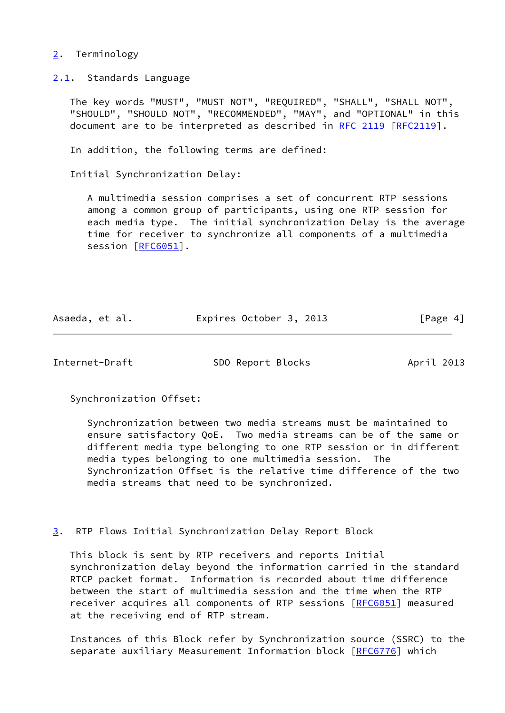## <span id="page-4-0"></span>[2](#page-4-0). Terminology

<span id="page-4-1"></span>[2.1](#page-4-1). Standards Language

 The key words "MUST", "MUST NOT", "REQUIRED", "SHALL", "SHALL NOT", "SHOULD", "SHOULD NOT", "RECOMMENDED", "MAY", and "OPTIONAL" in this document are to be interpreted as described in [RFC 2119 \[RFC2119](https://datatracker.ietf.org/doc/pdf/rfc2119)].

In addition, the following terms are defined:

Initial Synchronization Delay:

 A multimedia session comprises a set of concurrent RTP sessions among a common group of participants, using one RTP session for each media type. The initial synchronization Delay is the average time for receiver to synchronize all components of a multimedia session [[RFC6051\]](https://datatracker.ietf.org/doc/pdf/rfc6051).

| Asaeda, et al. | Expires October 3, 2013 | [Page 4] |
|----------------|-------------------------|----------|
|----------------|-------------------------|----------|

<span id="page-4-3"></span>Internet-Draft SDO Report Blocks April 2013

Synchronization Offset:

 Synchronization between two media streams must be maintained to ensure satisfactory QoE. Two media streams can be of the same or different media type belonging to one RTP session or in different media types belonging to one multimedia session. The Synchronization Offset is the relative time difference of the two media streams that need to be synchronized.

<span id="page-4-2"></span>[3](#page-4-2). RTP Flows Initial Synchronization Delay Report Block

 This block is sent by RTP receivers and reports Initial synchronization delay beyond the information carried in the standard RTCP packet format. Information is recorded about time difference between the start of multimedia session and the time when the RTP receiver acquires all components of RTP sessions [\[RFC6051](https://datatracker.ietf.org/doc/pdf/rfc6051)] measured at the receiving end of RTP stream.

 Instances of this Block refer by Synchronization source (SSRC) to the separate auxiliary Measurement Information block [\[RFC6776](https://datatracker.ietf.org/doc/pdf/rfc6776)] which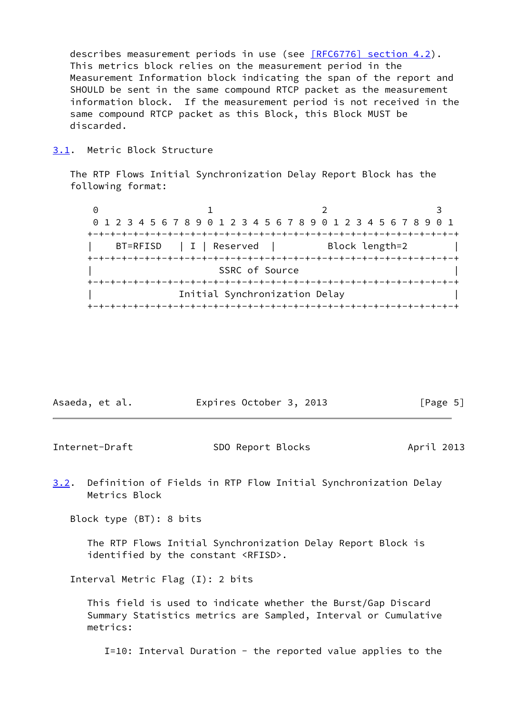describes measurement periods in use (see [\[RFC6776\] section](https://datatracker.ietf.org/doc/pdf/rfc6776#section-4.2) 4.2). This metrics block relies on the measurement period in the Measurement Information block indicating the span of the report and SHOULD be sent in the same compound RTCP packet as the measurement information block. If the measurement period is not received in the same compound RTCP packet as this Block, this Block MUST be discarded.

<span id="page-5-0"></span>[3.1](#page-5-0). Metric Block Structure

 The RTP Flows Initial Synchronization Delay Report Block has the following format:

0 1 2 3 0 1 2 3 4 5 6 7 8 9 0 1 2 3 4 5 6 7 8 9 0 1 2 3 4 5 6 7 8 9 0 1 +-+-+-+-+-+-+-+-+-+-+-+-+-+-+-+-+-+-+-+-+-+-+-+-+-+-+-+-+-+-+-+-+ BT=RFISD | I | Reserved | Block length=2 +-+-+-+-+-+-+-+-+-+-+-+-+-+-+-+-+-+-+-+-+-+-+-+-+-+-+-+-+-+-+-+-+ SSRC of Source +-+-+-+-+-+-+-+-+-+-+-+-+-+-+-+-+-+-+-+-+-+-+-+-+-+-+-+-+-+-+-+-+ Initial Synchronization Delay +-+-+-+-+-+-+-+-+-+-+-+-+-+-+-+-+-+-+-+-+-+-+-+-+-+-+-+-+-+-+-+-+

| Asaeda, et al. | Expires October 3, 2013 | [Page 5] |
|----------------|-------------------------|----------|
|----------------|-------------------------|----------|

<span id="page-5-1"></span>Internet-Draft SDO Report Blocks April 2013

<span id="page-5-2"></span>[3.2](#page-5-2). Definition of Fields in RTP Flow Initial Synchronization Delay Metrics Block

Block type (BT): 8 bits

 The RTP Flows Initial Synchronization Delay Report Block is identified by the constant <RFISD>.

Interval Metric Flag (I): 2 bits

 This field is used to indicate whether the Burst/Gap Discard Summary Statistics metrics are Sampled, Interval or Cumulative metrics:

I=10: Interval Duration - the reported value applies to the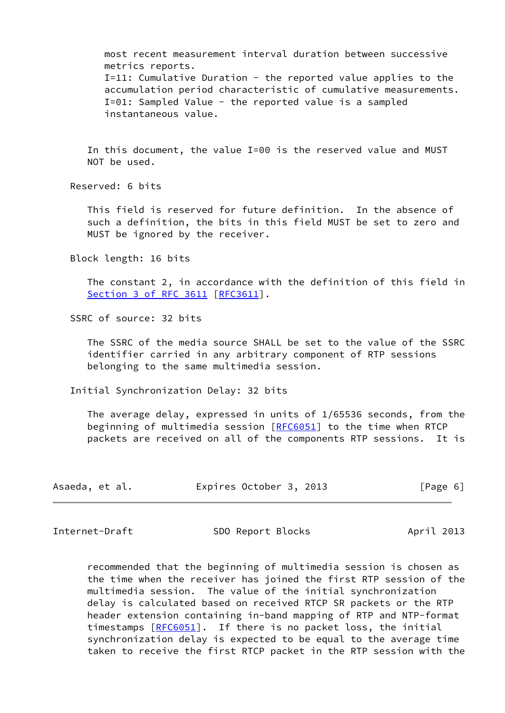most recent measurement interval duration between successive metrics reports. I=11: Cumulative Duration - the reported value applies to the accumulation period characteristic of cumulative measurements. I=01: Sampled Value - the reported value is a sampled instantaneous value.

 In this document, the value I=00 is the reserved value and MUST NOT be used.

Reserved: 6 bits

 This field is reserved for future definition. In the absence of such a definition, the bits in this field MUST be set to zero and MUST be ignored by the receiver.

Block length: 16 bits

 The constant 2, in accordance with the definition of this field in Section [3 of RFC 3611](https://datatracker.ietf.org/doc/pdf/rfc3611#section-3) [\[RFC3611](https://datatracker.ietf.org/doc/pdf/rfc3611)].

SSRC of source: 32 bits

 The SSRC of the media source SHALL be set to the value of the SSRC identifier carried in any arbitrary component of RTP sessions belonging to the same multimedia session.

Initial Synchronization Delay: 32 bits

 The average delay, expressed in units of 1/65536 seconds, from the beginning of multimedia session [[RFC6051\]](https://datatracker.ietf.org/doc/pdf/rfc6051) to the time when RTCP packets are received on all of the components RTP sessions. It is

| Asaeda, et al. | Expires October 3, 2013 | [Page 6] |
|----------------|-------------------------|----------|
|----------------|-------------------------|----------|

<span id="page-6-0"></span>Internet-Draft SDO Report Blocks April 2013

 recommended that the beginning of multimedia session is chosen as the time when the receiver has joined the first RTP session of the multimedia session. The value of the initial synchronization delay is calculated based on received RTCP SR packets or the RTP header extension containing in-band mapping of RTP and NTP-format timestamps [[RFC6051](https://datatracker.ietf.org/doc/pdf/rfc6051)]. If there is no packet loss, the initial synchronization delay is expected to be equal to the average time taken to receive the first RTCP packet in the RTP session with the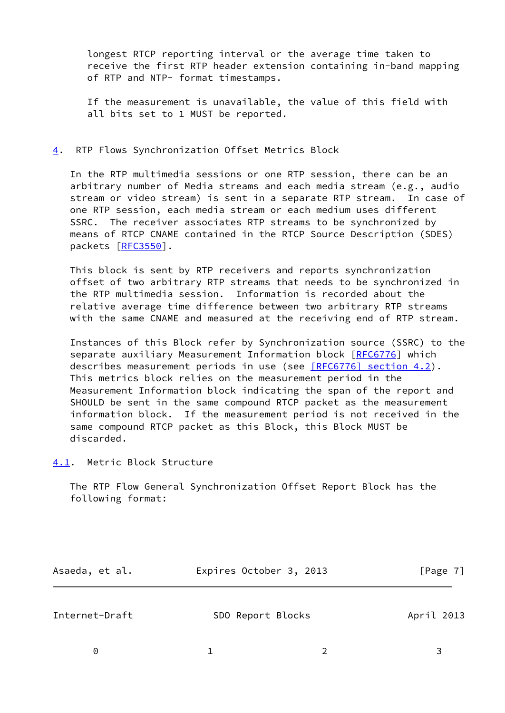longest RTCP reporting interval or the average time taken to receive the first RTP header extension containing in-band mapping of RTP and NTP- format timestamps.

 If the measurement is unavailable, the value of this field with all bits set to 1 MUST be reported.

#### <span id="page-7-0"></span>[4](#page-7-0). RTP Flows Synchronization Offset Metrics Block

 In the RTP multimedia sessions or one RTP session, there can be an arbitrary number of Media streams and each media stream (e.g., audio stream or video stream) is sent in a separate RTP stream. In case of one RTP session, each media stream or each medium uses different SSRC. The receiver associates RTP streams to be synchronized by means of RTCP CNAME contained in the RTCP Source Description (SDES) packets [\[RFC3550](https://datatracker.ietf.org/doc/pdf/rfc3550)].

 This block is sent by RTP receivers and reports synchronization offset of two arbitrary RTP streams that needs to be synchronized in the RTP multimedia session. Information is recorded about the relative average time difference between two arbitrary RTP streams with the same CNAME and measured at the receiving end of RTP stream.

 Instances of this Block refer by Synchronization source (SSRC) to the separate auxiliary Measurement Information block [\[RFC6776](https://datatracker.ietf.org/doc/pdf/rfc6776)] which describes measurement periods in use (see  $[REC6776]$  section 4.2). This metrics block relies on the measurement period in the Measurement Information block indicating the span of the report and SHOULD be sent in the same compound RTCP packet as the measurement information block. If the measurement period is not received in the same compound RTCP packet as this Block, this Block MUST be discarded.

<span id="page-7-1"></span>[4.1](#page-7-1). Metric Block Structure

 The RTP Flow General Synchronization Offset Report Block has the following format:

<span id="page-7-2"></span>

| Asaeda, et al. | Expires October 3, 2013 | [Page 7]   |
|----------------|-------------------------|------------|
| Internet-Draft | SDO Report Blocks       | April 2013 |
| $\Theta$       |                         |            |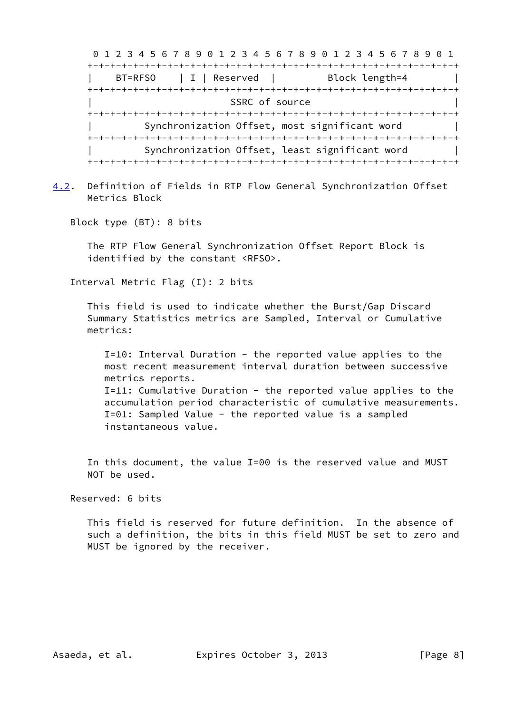| 0 1 2 3 4 5 6 7 8 9 0 1 2 3 4 5 6 7 8 9 0 1 2 3 4 5 6 7 8 9 |                                                |
|-------------------------------------------------------------|------------------------------------------------|
|                                                             |                                                |
| $  I  $ Reserved $ $<br>BT=RFS0                             | Block length=4                                 |
|                                                             |                                                |
| SSRC of source                                              |                                                |
|                                                             |                                                |
| Synchronization Offset, most significant word               |                                                |
|                                                             |                                                |
|                                                             | Synchronization Offset, least significant word |
|                                                             |                                                |

<span id="page-8-0"></span>[4.2](#page-8-0). Definition of Fields in RTP Flow General Synchronization Offset Metrics Block

Block type (BT): 8 bits

 The RTP Flow General Synchronization Offset Report Block is identified by the constant <RFSO>.

Interval Metric Flag (I): 2 bits

 This field is used to indicate whether the Burst/Gap Discard Summary Statistics metrics are Sampled, Interval or Cumulative metrics:

 I=10: Interval Duration - the reported value applies to the most recent measurement interval duration between successive metrics reports. I=11: Cumulative Duration - the reported value applies to the accumulation period characteristic of cumulative measurements. I=01: Sampled Value - the reported value is a sampled instantaneous value.

 In this document, the value I=00 is the reserved value and MUST NOT be used.

Reserved: 6 bits

 This field is reserved for future definition. In the absence of such a definition, the bits in this field MUST be set to zero and MUST be ignored by the receiver.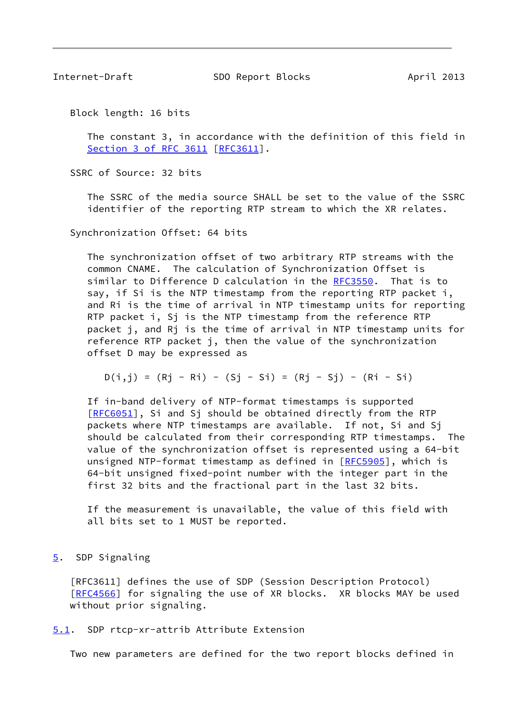<span id="page-9-1"></span>Internet-Draft SDO Report Blocks April 2013

Block length: 16 bits

 The constant 3, in accordance with the definition of this field in Section [3 of RFC 3611](https://datatracker.ietf.org/doc/pdf/rfc3611#section-3) [\[RFC3611](https://datatracker.ietf.org/doc/pdf/rfc3611)].

SSRC of Source: 32 bits

 The SSRC of the media source SHALL be set to the value of the SSRC identifier of the reporting RTP stream to which the XR relates.

Synchronization Offset: 64 bits

 The synchronization offset of two arbitrary RTP streams with the common CNAME. The calculation of Synchronization Offset is similar to Difference D calculation in the [RFC3550](https://datatracker.ietf.org/doc/pdf/rfc3550). That is to say, if Si is the NTP timestamp from the reporting RTP packet i, and Ri is the time of arrival in NTP timestamp units for reporting RTP packet i, Sj is the NTP timestamp from the reference RTP packet j, and Rj is the time of arrival in NTP timestamp units for reference RTP packet j, then the value of the synchronization offset D may be expressed as

$$
D(i,j) = (Rj - Ri) - (Sj - Si) = (Rj - Sj) - (Ri - Si)
$$

 If in-band delivery of NTP-format timestamps is supported [[RFC6051\]](https://datatracker.ietf.org/doc/pdf/rfc6051), Si and Sj should be obtained directly from the RTP packets where NTP timestamps are available. If not, Si and Sj should be calculated from their corresponding RTP timestamps. The value of the synchronization offset is represented using a 64-bit unsigned NTP-format timestamp as defined in [\[RFC5905](https://datatracker.ietf.org/doc/pdf/rfc5905)], which is 64-bit unsigned fixed-point number with the integer part in the first 32 bits and the fractional part in the last 32 bits.

 If the measurement is unavailable, the value of this field with all bits set to 1 MUST be reported.

<span id="page-9-0"></span>[5](#page-9-0). SDP Signaling

 [RFC3611] defines the use of SDP (Session Description Protocol) [\[RFC4566](https://datatracker.ietf.org/doc/pdf/rfc4566)] for signaling the use of XR blocks. XR blocks MAY be used without prior signaling.

<span id="page-9-2"></span>[5.1](#page-9-2). SDP rtcp-xr-attrib Attribute Extension

Two new parameters are defined for the two report blocks defined in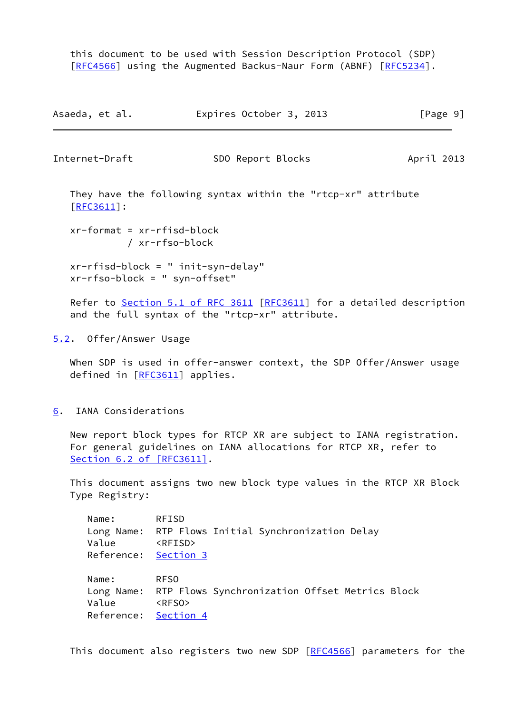this document to be used with Session Description Protocol (SDP) [\[RFC4566](https://datatracker.ietf.org/doc/pdf/rfc4566)] using the Augmented Backus-Naur Form (ABNF) [[RFC5234](https://datatracker.ietf.org/doc/pdf/rfc5234)].

| Asaeda, et al. | Expires October 3, 2013 |  | [Page 9] |
|----------------|-------------------------|--|----------|
|----------------|-------------------------|--|----------|

<span id="page-10-1"></span>

Internet-Draft SDO Report Blocks April 2013

 They have the following syntax within the "rtcp-xr" attribute [\[RFC3611](https://datatracker.ietf.org/doc/pdf/rfc3611)]:

 xr-format = xr-rfisd-block / xr-rfso-block

 xr-rfisd-block = " init-syn-delay" xr-rfso-block = " syn-offset"

Refer to Section [5.1 of RFC 3611](https://datatracker.ietf.org/doc/pdf/rfc3611#section-5.1) [\[RFC3611](https://datatracker.ietf.org/doc/pdf/rfc3611)] for a detailed description and the full syntax of the "rtcp-xr" attribute.

<span id="page-10-0"></span>[5.2](#page-10-0). Offer/Answer Usage

When SDP is used in offer-answer context, the SDP Offer/Answer usage defined in [[RFC3611\]](https://datatracker.ietf.org/doc/pdf/rfc3611) applies.

<span id="page-10-2"></span>[6](#page-10-2). IANA Considerations

 New report block types for RTCP XR are subject to IANA registration. For general guidelines on IANA allocations for RTCP XR, refer to Section [6.2 of \[RFC3611\]](https://datatracker.ietf.org/doc/pdf/rfc3611#section-6.2).

 This document assigns two new block type values in the RTCP XR Block Type Registry:

| Name:                | <b>RFISD</b>    |                                                           |  |  |
|----------------------|-----------------|-----------------------------------------------------------|--|--|
|                      |                 | Long Name: RTP Flows Initial Synchronization Delay        |  |  |
| Value                | <rfisd></rfisd> |                                                           |  |  |
| Reference: Section 3 |                 |                                                           |  |  |
|                      |                 |                                                           |  |  |
| Name:                | <b>RFSO</b>     |                                                           |  |  |
|                      |                 | Long Name: RTP Flows Synchronization Offset Metrics Block |  |  |
| Value                | <rfs0></rfs0>   |                                                           |  |  |
| Reference: Section 4 |                 |                                                           |  |  |
|                      |                 |                                                           |  |  |

This document also registers two new SDP [\[RFC4566](https://datatracker.ietf.org/doc/pdf/rfc4566)] parameters for the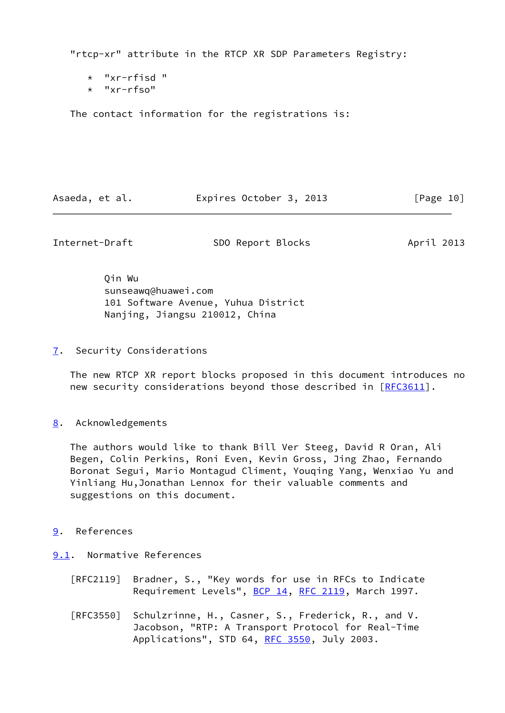"rtcp-xr" attribute in the RTCP XR SDP Parameters Registry:

- \* "xr-rfisd "
- \* "xr-rfso"

The contact information for the registrations is:

Asaeda, et al. **Expires October 3, 2013** [Page 10]

<span id="page-11-1"></span>Internet-Draft SDO Report Blocks April 2013

 Qin Wu sunseawq@huawei.com 101 Software Avenue, Yuhua District Nanjing, Jiangsu 210012, China

<span id="page-11-0"></span>[7](#page-11-0). Security Considerations

 The new RTCP XR report blocks proposed in this document introduces no new security considerations beyond those described in [[RFC3611](https://datatracker.ietf.org/doc/pdf/rfc3611)].

<span id="page-11-2"></span>[8](#page-11-2). Acknowledgements

 The authors would like to thank Bill Ver Steeg, David R Oran, Ali Begen, Colin Perkins, Roni Even, Kevin Gross, Jing Zhao, Fernando Boronat Segui, Mario Montagud Climent, Youqing Yang, Wenxiao Yu and Yinliang Hu,Jonathan Lennox for their valuable comments and suggestions on this document.

- <span id="page-11-3"></span>[9](#page-11-3). References
- <span id="page-11-4"></span>[9.1](#page-11-4). Normative References
	- [RFC2119] Bradner, S., "Key words for use in RFCs to Indicate Requirement Levels", [BCP 14](https://datatracker.ietf.org/doc/pdf/bcp14), [RFC 2119](https://datatracker.ietf.org/doc/pdf/rfc2119), March 1997.
	- [RFC3550] Schulzrinne, H., Casner, S., Frederick, R., and V. Jacobson, "RTP: A Transport Protocol for Real-Time Applications", STD 64, [RFC 3550](https://datatracker.ietf.org/doc/pdf/rfc3550), July 2003.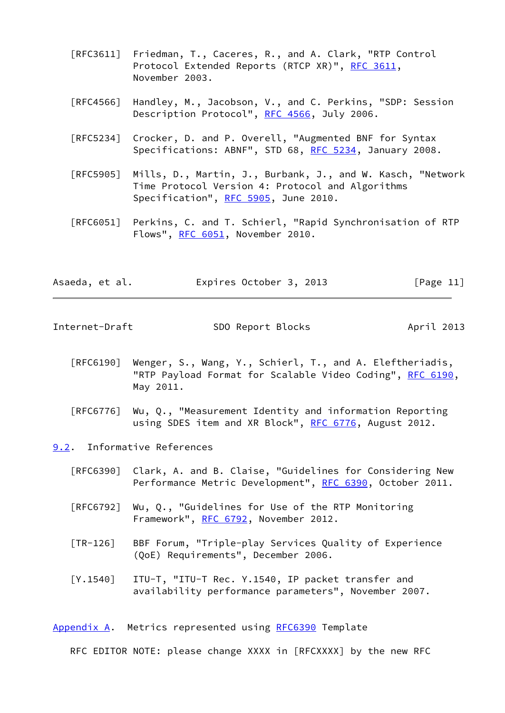- [RFC3611] Friedman, T., Caceres, R., and A. Clark, "RTP Control Protocol Extended Reports (RTCP XR)", [RFC 3611](https://datatracker.ietf.org/doc/pdf/rfc3611), November 2003.
- [RFC4566] Handley, M., Jacobson, V., and C. Perkins, "SDP: Session Description Protocol", [RFC 4566](https://datatracker.ietf.org/doc/pdf/rfc4566), July 2006.
- [RFC5234] Crocker, D. and P. Overell, "Augmented BNF for Syntax Specifications: ABNF", STD 68, [RFC 5234](https://datatracker.ietf.org/doc/pdf/rfc5234), January 2008.
- [RFC5905] Mills, D., Martin, J., Burbank, J., and W. Kasch, "Network Time Protocol Version 4: Protocol and Algorithms Specification", [RFC 5905,](https://datatracker.ietf.org/doc/pdf/rfc5905) June 2010.
- [RFC6051] Perkins, C. and T. Schierl, "Rapid Synchronisation of RTP Flows", [RFC 6051,](https://datatracker.ietf.org/doc/pdf/rfc6051) November 2010.

|  | Asaeda, et al. | Expires October 3, 2013 | [Page 11] |
|--|----------------|-------------------------|-----------|
|--|----------------|-------------------------|-----------|

<span id="page-12-1"></span>Internet-Draft SDO Report Blocks April 2013

- [RFC6190] Wenger, S., Wang, Y., Schierl, T., and A. Eleftheriadis, "RTP Payload Format for Scalable Video Coding", [RFC 6190,](https://datatracker.ietf.org/doc/pdf/rfc6190) May 2011.
- [RFC6776] Wu, Q., "Measurement Identity and information Reporting using SDES item and XR Block", [RFC 6776](https://datatracker.ietf.org/doc/pdf/rfc6776), August 2012.

<span id="page-12-0"></span>[9.2](#page-12-0). Informative References

- [RFC6390] Clark, A. and B. Claise, "Guidelines for Considering New Performance Metric Development", [RFC 6390,](https://datatracker.ietf.org/doc/pdf/rfc6390) October 2011.
- [RFC6792] Wu, Q., "Guidelines for Use of the RTP Monitoring Framework", [RFC 6792,](https://datatracker.ietf.org/doc/pdf/rfc6792) November 2012.
- <span id="page-12-3"></span> [TR-126] BBF Forum, "Triple-play Services Quality of Experience (QoE) Requirements", December 2006.
- [Y.1540] ITU-T, "ITU-T Rec. Y.1540, IP packet transfer and availability performance parameters", November 2007.

<span id="page-12-2"></span>[Appendix A.](#page-12-2) Metrics represented using [RFC6390](https://datatracker.ietf.org/doc/pdf/rfc6390) Template

RFC EDITOR NOTE: please change XXXX in [RFCXXXX] by the new RFC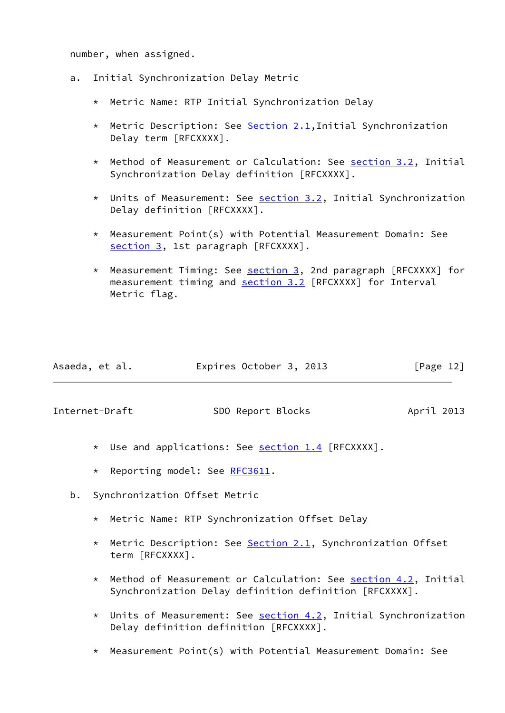number, when assigned.

- a. Initial Synchronization Delay Metric
	- \* Metric Name: RTP Initial Synchronization Delay
	- \* Metric Description: See [Section 2.1](#page-4-1),Initial Synchronization Delay term [RFCXXXX].
	- \* Method of Measurement or Calculation: See [section 3.2](#page-5-2), Initial Synchronization Delay definition [RFCXXXX].
	- \* Units of Measurement: See [section 3.2](#page-5-2), Initial Synchronization Delay definition [RFCXXXX].
	- \* Measurement Point(s) with Potential Measurement Domain: See [section 3,](#page-4-2) 1st paragraph [RFCXXXX].
	- \* Measurement Timing: See [section 3,](#page-4-2) 2nd paragraph [RFCXXXX] for measurement timing and [section 3.2](#page-5-2) [RFCXXXX] for Interval Metric flag.

| Asaeda, et al. | Expires October 3, 2013 | [Page 12] |
|----------------|-------------------------|-----------|
|                |                         |           |

<span id="page-13-0"></span>Internet-Draft SDO Report Blocks April 2013

- \* Use and applications: See [section 1.4](#page-2-4) [RFCXXXX].
- \* Reporting model: See [RFC3611.](https://datatracker.ietf.org/doc/pdf/rfc3611)
- b. Synchronization Offset Metric
	- \* Metric Name: RTP Synchronization Offset Delay
	- \* Metric Description: See **[Section 2.1](#page-4-1)**, Synchronization Offset term [RFCXXXX].
	- \* Method of Measurement or Calculation: See [section 4.2](#page-8-0), Initial Synchronization Delay definition definition [RFCXXXX].
	- \* Units of Measurement: See [section 4.2](#page-8-0), Initial Synchronization Delay definition definition [RFCXXXX].
	- \* Measurement Point(s) with Potential Measurement Domain: See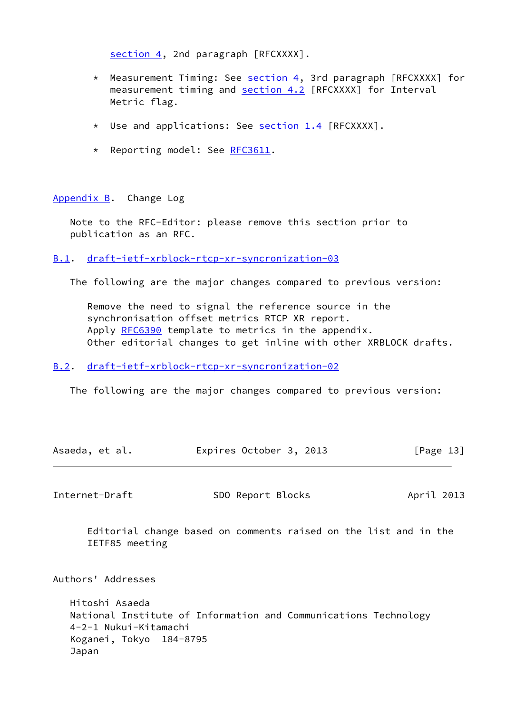[section 4,](#page-7-0) 2nd paragraph [RFCXXXX].

- \* Measurement Timing: See [section 4,](#page-7-0) 3rd paragraph [RFCXXXX] for measurement timing and [section 4.2](#page-8-0) [RFCXXXX] for Interval Metric flag.
- \* Use and applications: See [section 1.4](#page-2-4) [RFCXXXX].
- \* Reporting model: See [RFC3611.](https://datatracker.ietf.org/doc/pdf/rfc3611)

<span id="page-14-0"></span>[Appendix B.](#page-14-0) Change Log

Japan

 Note to the RFC-Editor: please remove this section prior to publication as an RFC.

<span id="page-14-1"></span>[B.1](#page-14-1). [draft-ietf-xrblock-rtcp-xr-syncronization-03](https://datatracker.ietf.org/doc/pdf/draft-ietf-xrblock-rtcp-xr-syncronization-03)

The following are the major changes compared to previous version:

 Remove the need to signal the reference source in the synchronisation offset metrics RTCP XR report. Apply [RFC6390](https://datatracker.ietf.org/doc/pdf/rfc6390) template to metrics in the appendix. Other editorial changes to get inline with other XRBLOCK drafts.

## <span id="page-14-2"></span>[B.2](#page-14-2). [draft-ietf-xrblock-rtcp-xr-syncronization-02](https://datatracker.ietf.org/doc/pdf/draft-ietf-xrblock-rtcp-xr-syncronization-02)

The following are the major changes compared to previous version:

<span id="page-14-3"></span>

| Asaeda, et al.                                                     | Expires October 3, 2013                                          | [Page $13$ ] |
|--------------------------------------------------------------------|------------------------------------------------------------------|--------------|
| Internet-Draft                                                     | SDO Report Blocks                                                | April 2013   |
| IETF85 meeting                                                     | Editorial change based on comments raised on the list and in the |              |
| Authors' Addresses                                                 |                                                                  |              |
| Hitoshi Asaeda<br>4-2-1 Nukui-Kitamachi<br>Koganei, Tokyo 184-8795 | National Institute of Information and Communications Technology  |              |